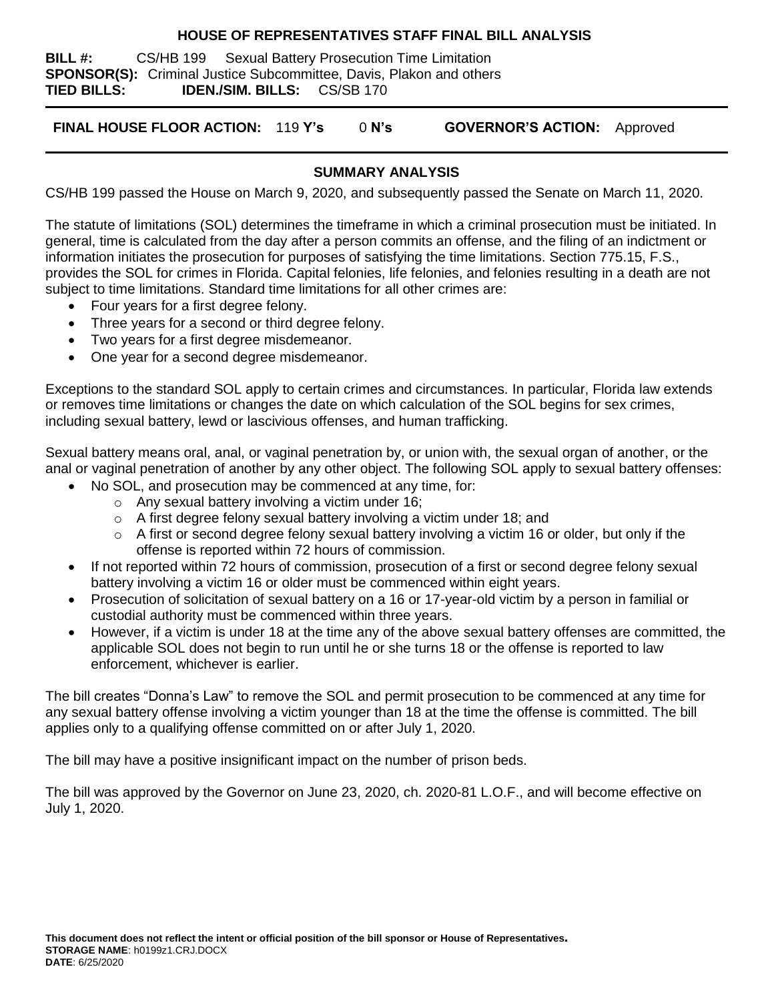### **HOUSE OF REPRESENTATIVES STAFF FINAL BILL ANALYSIS**

**BILL #:** CS/HB 199 Sexual Battery Prosecution Time Limitation **SPONSOR(S):** Criminal Justice Subcommittee, Davis, Plakon and others **TIED BILLS: IDEN./SIM. BILLS:** CS/SB 170

**FINAL HOUSE FLOOR ACTION:** 119 **Y's** 0 **N's GOVERNOR'S ACTION:** Approved

## **SUMMARY ANALYSIS**

CS/HB 199 passed the House on March 9, 2020, and subsequently passed the Senate on March 11, 2020.

The statute of limitations (SOL) determines the timeframe in which a criminal prosecution must be initiated. In general, time is calculated from the day after a person commits an offense, and the filing of an indictment or information initiates the prosecution for purposes of satisfying the time limitations. Section 775.15, F.S., provides the SOL for crimes in Florida. Capital felonies, life felonies, and felonies resulting in a death are not subject to time limitations. Standard time limitations for all other crimes are:

- Four years for a first degree felony.
- Three years for a second or third degree felony.
- Two years for a first degree misdemeanor.
- One year for a second degree misdemeanor.

Exceptions to the standard SOL apply to certain crimes and circumstances. In particular, Florida law extends or removes time limitations or changes the date on which calculation of the SOL begins for sex crimes, including sexual battery, lewd or lascivious offenses, and human trafficking.

Sexual battery means oral, anal, or vaginal penetration by, or union with, the sexual organ of another, or the anal or vaginal penetration of another by any other object. The following SOL apply to sexual battery offenses:

- No SOL, and prosecution may be commenced at any time, for:
	- o Any sexual battery involving a victim under 16;
	- o A first degree felony sexual battery involving a victim under 18; and
	- $\circ$  A first or second degree felony sexual battery involving a victim 16 or older, but only if the offense is reported within 72 hours of commission.
- If not reported within 72 hours of commission, prosecution of a first or second degree felony sexual battery involving a victim 16 or older must be commenced within eight years.
- Prosecution of solicitation of sexual battery on a 16 or 17-year-old victim by a person in familial or custodial authority must be commenced within three years.
- However, if a victim is under 18 at the time any of the above sexual battery offenses are committed, the applicable SOL does not begin to run until he or she turns 18 or the offense is reported to law enforcement, whichever is earlier.

The bill creates "Donna's Law" to remove the SOL and permit prosecution to be commenced at any time for any sexual battery offense involving a victim younger than 18 at the time the offense is committed. The bill applies only to a qualifying offense committed on or after July 1, 2020.

The bill may have a positive insignificant impact on the number of prison beds.

The bill was approved by the Governor on June 23, 2020, ch. 2020-81 L.O.F., and will become effective on July 1, 2020.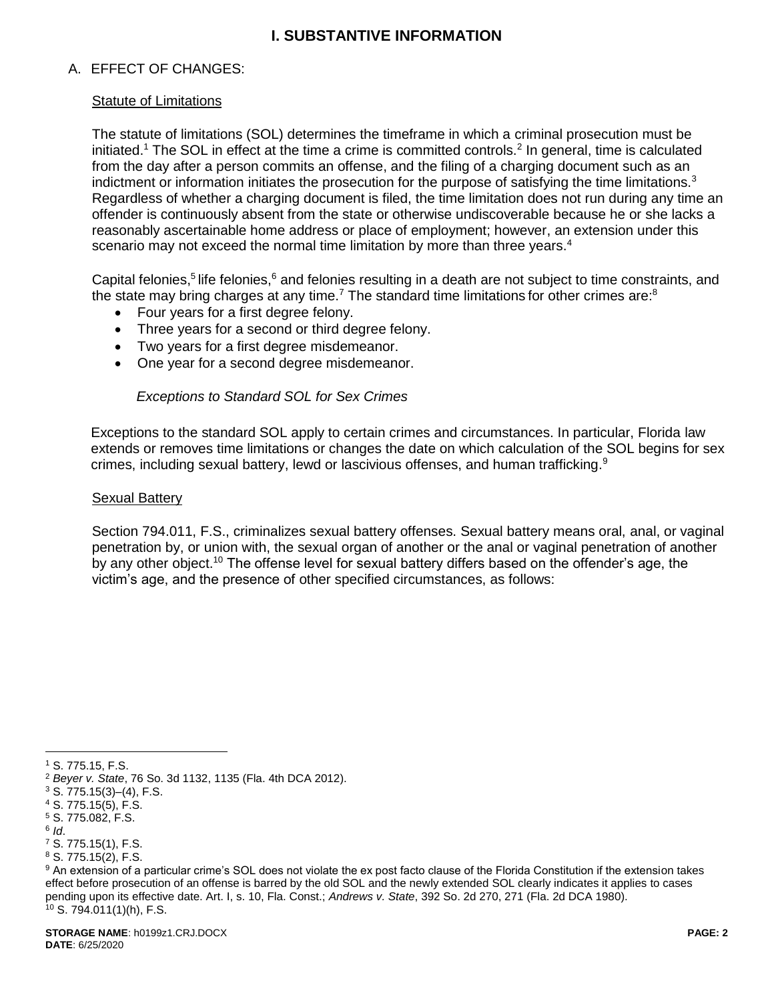# **I. SUBSTANTIVE INFORMATION**

## A. EFFECT OF CHANGES:

### Statute of Limitations

The statute of limitations (SOL) determines the timeframe in which a criminal prosecution must be initiated.<sup>1</sup> The SOL in effect at the time a crime is committed controls.<sup>2</sup> In general, time is calculated from the day after a person commits an offense, and the filing of a charging document such as an indictment or information initiates the prosecution for the purpose of satisfying the time limitations. $3$ Regardless of whether a charging document is filed, the time limitation does not run during any time an offender is continuously absent from the state or otherwise undiscoverable because he or she lacks a reasonably ascertainable home address or place of employment; however, an extension under this scenario may not exceed the normal time limitation by more than three years.<sup>4</sup>

Capital felonies,<sup>5</sup> life felonies,<sup>6</sup> and felonies resulting in a death are not subject to time constraints, and the state may bring charges at any time.<sup>7</sup> The standard time limitations for other crimes are:<sup>8</sup>

- Four years for a first degree felony.
- Three years for a second or third degree felony.
- Two years for a first degree misdemeanor.
- One year for a second degree misdemeanor.

#### *Exceptions to Standard SOL for Sex Crimes*

Exceptions to the standard SOL apply to certain crimes and circumstances. In particular, Florida law extends or removes time limitations or changes the date on which calculation of the SOL begins for sex crimes, including sexual battery, lewd or lascivious offenses, and human trafficking.<sup>9</sup>

#### Sexual Battery

Section 794.011, F.S., criminalizes sexual battery offenses. Sexual battery means oral, anal, or vaginal penetration by, or union with, the sexual organ of another or the anal or vaginal penetration of another by any other object.<sup>10</sup> The offense level for sexual battery differs based on the offender's age, the victim's age, and the presence of other specified circumstances, as follows:

 $\overline{a}$ 

<sup>1</sup> S. 775.15, F.S.

<sup>2</sup> *Beyer v. State*, 76 So. 3d 1132, 1135 (Fla. 4th DCA 2012).

 $3$  S.  $775.15(3)$ –(4), F.S.

<sup>4</sup> S. 775.15(5), F.S.

<sup>5</sup> S. 775.082, F.S.

<sup>6</sup> *Id*.

<sup>7</sup> S. 775.15(1), F.S.

<sup>8</sup> S. 775.15(2), F.S.

<sup>9</sup> An extension of a particular crime's SOL does not violate the ex post facto clause of the Florida Constitution if the extension takes effect before prosecution of an offense is barred by the old SOL and the newly extended SOL clearly indicates it applies to cases pending upon its effective date. Art. I, s. 10, Fla. Const.; *Andrews v. State*, 392 So. 2d 270, 271 (Fla. 2d DCA 1980).  $10$  S. 794.011(1)(h), F.S.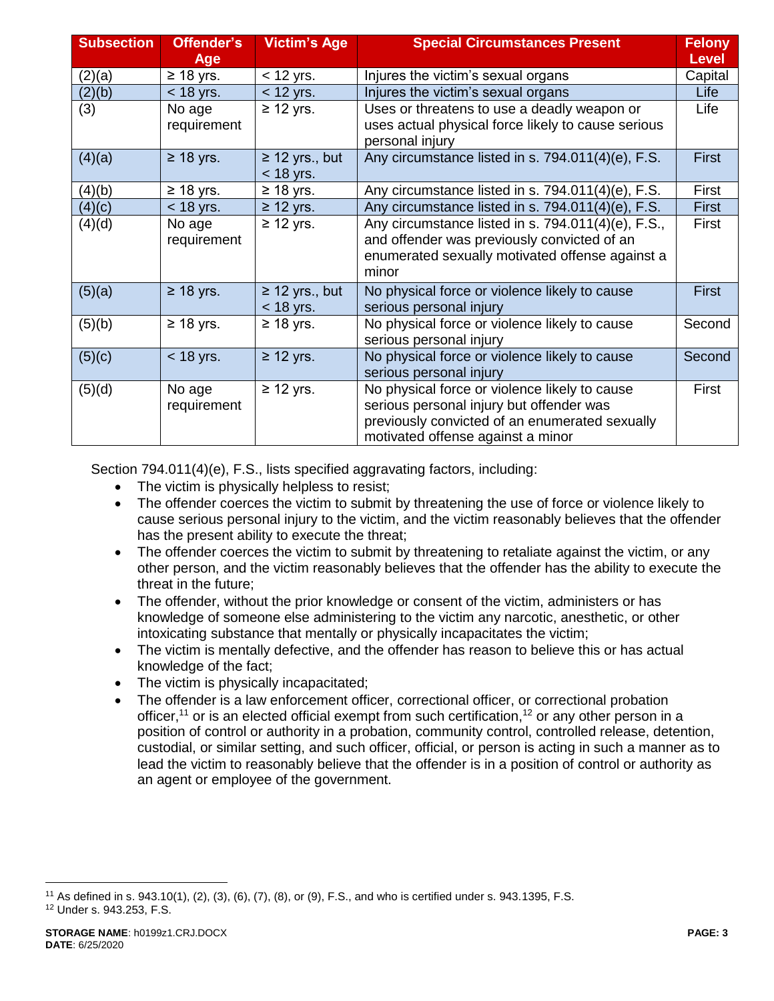| <b>Subsection</b> | Offender's<br><b>Age</b> | <b>Victim's Age</b>                | <b>Special Circumstances Present</b>                                                                                                                                             | <b>Felony</b><br><b>Level</b> |
|-------------------|--------------------------|------------------------------------|----------------------------------------------------------------------------------------------------------------------------------------------------------------------------------|-------------------------------|
| (2)(a)            | $\geq$ 18 yrs.           | $<$ 12 yrs.                        | Injures the victim's sexual organs                                                                                                                                               | Capital                       |
| (2)(b)            | $<$ 18 yrs.              | $<$ 12 yrs.                        | Injures the victim's sexual organs                                                                                                                                               | Life                          |
| (3)               | No age<br>requirement    | $\geq$ 12 yrs.                     | Uses or threatens to use a deadly weapon or<br>uses actual physical force likely to cause serious<br>personal injury                                                             | Life                          |
| (4)(a)            | $\geq$ 18 yrs.           | $\geq$ 12 yrs., but<br>$<$ 18 yrs. | Any circumstance listed in s. 794.011(4)(e), F.S.                                                                                                                                | <b>First</b>                  |
| (4)(b)            | $\geq$ 18 yrs.           | $\geq$ 18 yrs.                     | Any circumstance listed in s. 794.011(4)(e), F.S.                                                                                                                                | First                         |
| (4)(c)            | $<$ 18 yrs.              | $\geq$ 12 yrs.                     | Any circumstance listed in s. 794.011(4)(e), F.S.                                                                                                                                | <b>First</b>                  |
| (4)(d)            | No age<br>requirement    | $\geq$ 12 yrs.                     | Any circumstance listed in s. 794.011(4)(e), F.S.,<br>and offender was previously convicted of an<br>enumerated sexually motivated offense against a<br>minor                    | First                         |
| (5)(a)            | $\geq$ 18 yrs.           | $\geq$ 12 yrs., but<br>$<$ 18 yrs. | No physical force or violence likely to cause<br>serious personal injury                                                                                                         | <b>First</b>                  |
| (5)(b)            | $\geq$ 18 yrs.           | $\geq$ 18 yrs.                     | No physical force or violence likely to cause<br>serious personal injury                                                                                                         | Second                        |
| (5)(c)            | $<$ 18 yrs.              | $\geq$ 12 yrs.                     | No physical force or violence likely to cause<br>serious personal injury                                                                                                         | Second                        |
| (5)(d)            | No age<br>requirement    | $\geq$ 12 yrs.                     | No physical force or violence likely to cause<br>serious personal injury but offender was<br>previously convicted of an enumerated sexually<br>motivated offense against a minor | First                         |

Section 794.011(4)(e), F.S., lists specified aggravating factors, including:

- The victim is physically helpless to resist;
- The offender coerces the victim to submit by threatening the use of force or violence likely to cause serious personal injury to the victim, and the victim reasonably believes that the offender has the present ability to execute the threat;
- The offender coerces the victim to submit by threatening to retaliate against the victim, or any other person, and the victim reasonably believes that the offender has the ability to execute the threat in the future;
- The offender, without the prior knowledge or consent of the victim, administers or has knowledge of someone else administering to the victim any narcotic, anesthetic, or other intoxicating substance that mentally or physically incapacitates the victim;
- The victim is mentally defective, and the offender has reason to believe this or has actual knowledge of the fact;
- The victim is physically incapacitated;
- The offender is a law enforcement officer, correctional officer, or correctional probation officer,<sup>11</sup> or is an elected official exempt from such certification,<sup>12</sup> or any other person in a position of control or authority in a probation, community control, controlled release, detention, custodial, or similar setting, and such officer, official, or person is acting in such a manner as to lead the victim to reasonably believe that the offender is in a position of control or authority as an agent or employee of the government.

 $\overline{a}$ <sup>11</sup> As defined in s. 943.10(1), (2), (3), (6), (7), (8), or (9), F.S., and who is certified under s. 943.1395, F.S. <sup>12</sup> Under s. 943.253, F.S.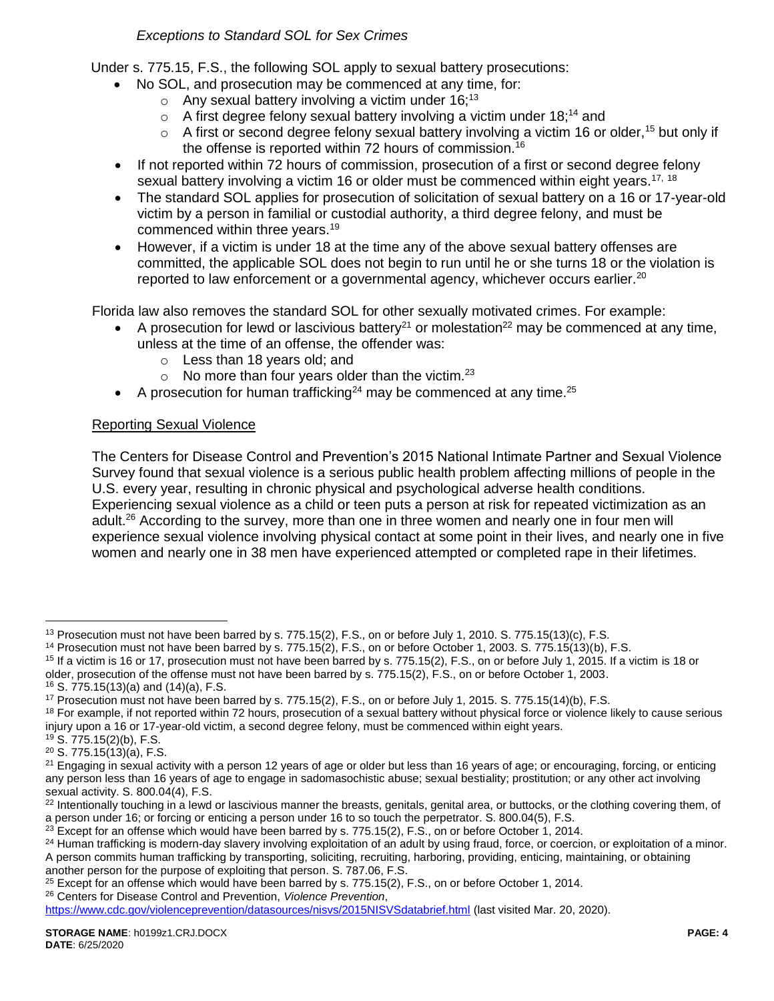*Exceptions to Standard SOL for Sex Crimes*

Under s. 775.15, F.S., the following SOL apply to sexual battery prosecutions:

- No SOL, and prosecution may be commenced at any time, for:
	- $\circ$  Any sexual battery involving a victim under 16:<sup>13</sup>
	- $\circ$  A first degree felony sexual battery involving a victim under 18;<sup>14</sup> and
	- $\circ$  A first or second degree felony sexual battery involving a victim 16 or older,<sup>15</sup> but only if the offense is reported within 72 hours of commission.<sup>16</sup>
- If not reported within 72 hours of commission, prosecution of a first or second degree felony sexual battery involving a victim 16 or older must be commenced within eight years.<sup>17, 18</sup>
- The standard SOL applies for prosecution of solicitation of sexual battery on a 16 or 17-year-old victim by a person in familial or custodial authority, a third degree felony, and must be commenced within three years.<sup>19</sup>
- However, if a victim is under 18 at the time any of the above sexual battery offenses are committed, the applicable SOL does not begin to run until he or she turns 18 or the violation is reported to law enforcement or a governmental agency, whichever occurs earlier.<sup>20</sup>

Florida law also removes the standard SOL for other sexually motivated crimes. For example:

- A prosecution for lewd or lascivious battery<sup>21</sup> or molestation<sup>22</sup> may be commenced at any time, unless at the time of an offense, the offender was:
	- o Less than 18 years old; and
	- $\circ$  No more than four years older than the victim.<sup>23</sup>
- A prosecution for human trafficking<sup>24</sup> may be commenced at any time.<sup>25</sup>

## Reporting Sexual Violence

The Centers for Disease Control and Prevention's 2015 National Intimate Partner and Sexual Violence Survey found that sexual violence is a serious public health problem affecting millions of people in the U.S. every year, resulting in chronic physical and psychological adverse health conditions. Experiencing sexual violence as a child or teen puts a person at risk for repeated victimization as an adult.<sup>26</sup> According to the survey, more than one in three women and nearly one in four men will experience sexual violence involving physical contact at some point in their lives, and nearly one in five women and nearly one in 38 men have experienced attempted or completed rape in their lifetimes.

 $\overline{a}$ 

<sup>&</sup>lt;sup>13</sup> Prosecution must not have been barred by s. 775.15(2), F.S., on or before July 1, 2010. S. 775.15(13)(c), F.S.

<sup>14</sup> Prosecution must not have been barred by s. 775.15(2), F.S., on or before October 1, 2003. S. 775.15(13)(b), F.S.

 $15$  If a victim is 16 or 17, prosecution must not have been barred by s. 775.15(2), F.S., on or before July 1, 2015. If a victim is 18 or older, prosecution of the offense must not have been barred by s. 775.15(2), F.S., on or before October 1, 2003.

<sup>16</sup> S. 775.15(13)(a) and (14)(a), F.S.

<sup>17</sup> Prosecution must not have been barred by s. 775.15(2), F.S., on or before July 1, 2015. S. 775.15(14)(b), F.S.

<sup>&</sup>lt;sup>18</sup> For example, if not reported within 72 hours, prosecution of a sexual battery without physical force or violence likely to cause serious injury upon a 16 or 17-year-old victim, a second degree felony, must be commenced within eight years.

<sup>19</sup> S. 775.15(2)(b), F.S.

 $20$  S. 775.15 $(13)(a)$ , F.S.

 $21$  Engaging in sexual activity with a person 12 years of age or older but less than 16 years of age; or encouraging, forcing, or enticing any person less than 16 years of age to engage in sadomasochistic abuse; sexual bestiality; prostitution; or any other act involving sexual activity. S. 800.04(4), F.S.

<sup>&</sup>lt;sup>22</sup> Intentionally touching in a lewd or lascivious manner the breasts, genitals, genital area, or buttocks, or the clothing covering them, of a person under 16; or forcing or enticing a person under 16 to so touch the perpetrator. S. 800.04(5), F.S.

 $^{23}$  Except for an offense which would have been barred by s. 775.15(2), F.S., on or before October 1, 2014.

<sup>&</sup>lt;sup>24</sup> Human trafficking is modern-day slavery involving exploitation of an adult by using fraud, force, or coercion, or exploitation of a minor. A person commits human trafficking by transporting, soliciting, recruiting, harboring, providing, enticing, maintaining, or obtaining another person for the purpose of exploiting that person. S. 787.06, F.S.

<sup>&</sup>lt;sup>25</sup> Except for an offense which would have been barred by s. 775.15(2), F.S., on or before October 1, 2014.

<sup>26</sup> Centers for Disease Control and Prevention, *Violence Prevention*,

<https://www.cdc.gov/violenceprevention/datasources/nisvs/2015NISVSdatabrief.html> (last visited Mar. 20, 2020).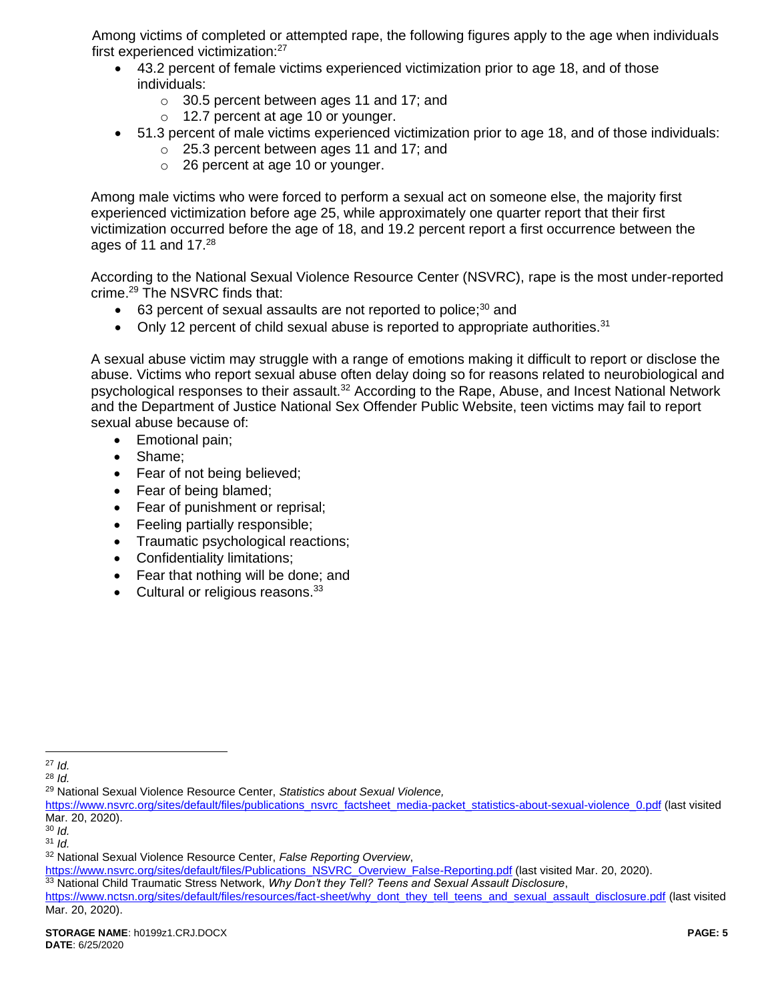Among victims of completed or attempted rape, the following figures apply to the age when individuals first experienced victimization:<sup>27</sup>

- 43.2 percent of female victims experienced victimization prior to age 18, and of those individuals:
	- o 30.5 percent between ages 11 and 17; and
	- o 12.7 percent at age 10 or younger.
- 51.3 percent of male victims experienced victimization prior to age 18, and of those individuals:
	- o 25.3 percent between ages 11 and 17; and
	- o 26 percent at age 10 or younger.

Among male victims who were forced to perform a sexual act on someone else, the majority first experienced victimization before age 25, while approximately one quarter report that their first victimization occurred before the age of 18, and 19.2 percent report a first occurrence between the ages of 11 and 17.<sup>28</sup>

According to the National Sexual Violence Resource Center (NSVRC), rape is the most under-reported crime.<sup>29</sup> The NSVRC finds that:

- $\bullet$  63 percent of sexual assaults are not reported to police;<sup>30</sup> and
- Only 12 percent of child sexual abuse is reported to appropriate authorities. $31$

A sexual abuse victim may struggle with a range of emotions making it difficult to report or disclose the abuse. Victims who report sexual abuse often delay doing so for reasons related to neurobiological and psychological responses to their assault.<sup>32</sup> According to the Rape, Abuse, and Incest National Network and the Department of Justice National Sex Offender Public Website, teen victims may fail to report sexual abuse because of:

- Emotional pain;
- Shame;
- Fear of not being believed;
- Fear of being blamed;
- Fear of punishment or reprisal;
- Feeling partially responsible;
- Traumatic psychological reactions;
- Confidentiality limitations;
- Fear that nothing will be done; and
- $\bullet$  Cultural or religious reasons.  $33$

 $\overline{a}$ 

[https://www.nsvrc.org/sites/default/files/Publications\\_NSVRC\\_Overview\\_False-Reporting.pdf](https://www.nsvrc.org/sites/default/files/Publications_NSVRC_Overview_False-Reporting.pdf) (last visited Mar. 20, 2020).

<sup>27</sup> *Id.*

<sup>28</sup> *Id.*

<sup>29</sup> National Sexual Violence Resource Center, *Statistics about Sexual Violence,* 

[https://www.nsvrc.org/sites/default/files/publications\\_nsvrc\\_factsheet\\_media-packet\\_statistics-about-sexual-violence\\_0.pdf](https://www.nsvrc.org/sites/default/files/publications_nsvrc_factsheet_media-packet_statistics-about-sexual-violence_0.pdf) (last visited Mar. 20, 2020).

<sup>30</sup> *Id.*

<sup>31</sup> *Id.*

<sup>32</sup> National Sexual Violence Resource Center, *False Reporting Overview*,

<sup>33</sup> National Child Traumatic Stress Network, *Why Don't they Tell? Teens and Sexual Assault Disclosure*,

[https://www.nctsn.org/sites/default/files/resources/fact-sheet/why\\_dont\\_they\\_tell\\_teens\\_and\\_sexual\\_assault\\_disclosure.pdf](https://www.nctsn.org/sites/default/files/resources/fact-sheet/why_dont_they_tell_teens_and_sexual_assault_disclosure.pdf) (last visited Mar. 20, 2020).